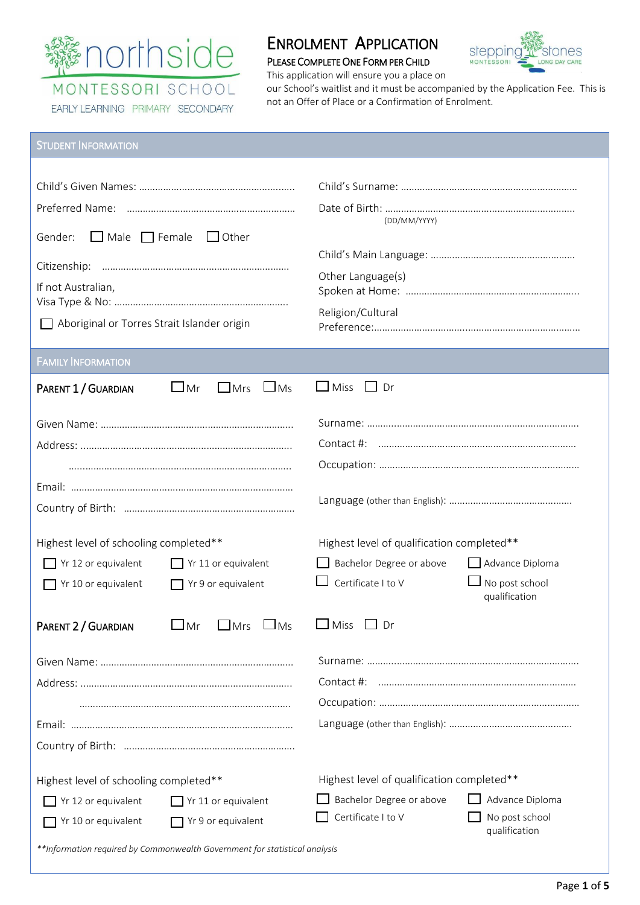

EARLY LEARNING PRIMARY SECONDARY

# ENROLMENT APPLICATION

#### <sup>P</sup>LEASE COMPLETE ONE FORM PER CHILD This application will ensure you a place on



our School's waitlist and it must be accompanied by the Application Fee. This is not an Offer of Place or a Confirmation of Enrolment.

# STUDENT INFORMATION

| Preferred Name:                             |                                                                             |                                            |                                 |  |
|---------------------------------------------|-----------------------------------------------------------------------------|--------------------------------------------|---------------------------------|--|
|                                             |                                                                             | (DD/MM/YYYY)                               |                                 |  |
| $\Box$ Male $\Box$ Female<br>Gender:        | $\Box$ Other                                                                |                                            |                                 |  |
|                                             |                                                                             |                                            |                                 |  |
| If not Australian,                          |                                                                             | Other Language(s)                          |                                 |  |
|                                             |                                                                             |                                            |                                 |  |
| Aboriginal or Torres Strait Islander origin |                                                                             | Religion/Cultural                          |                                 |  |
|                                             |                                                                             |                                            |                                 |  |
| <b>FAMILY INFORMATION</b>                   |                                                                             |                                            |                                 |  |
| PARENT 1 / GUARDIAN                         | $\Box$ Mrs<br>$\Box$ Mr<br>LMs                                              | $\Box$ Miss<br>$\Box$ Dr                   |                                 |  |
|                                             |                                                                             |                                            |                                 |  |
|                                             |                                                                             | Contact #:                                 |                                 |  |
|                                             |                                                                             |                                            |                                 |  |
|                                             |                                                                             |                                            |                                 |  |
|                                             |                                                                             |                                            |                                 |  |
|                                             |                                                                             |                                            |                                 |  |
| Highest level of schooling completed**      |                                                                             | Highest level of qualification completed** |                                 |  |
| Yr 12 or equivalent                         | $\Box$ Yr 11 or equivalent                                                  | Bachelor Degree or above                   | Advance Diploma                 |  |
| Yr 10 or equivalent                         | Yr 9 or equivalent                                                          | Certificate I to V                         | No post school<br>qualification |  |
| PARENT 2 / GUARDIAN                         | $\sqcup$ Mr<br>LMrs<br>$\sqcup$ Ms                                          | $\Box$ Miss<br>Dr                          |                                 |  |
|                                             |                                                                             |                                            |                                 |  |
|                                             |                                                                             | Contact #:                                 |                                 |  |
|                                             |                                                                             |                                            |                                 |  |
|                                             |                                                                             |                                            |                                 |  |
|                                             |                                                                             |                                            |                                 |  |
|                                             |                                                                             |                                            |                                 |  |
| Highest level of schooling completed**      |                                                                             | Highest level of qualification completed** |                                 |  |
| $\Box$ Yr 12 or equivalent                  | $\Box$ Yr 11 or equivalent                                                  | Bachelor Degree or above                   | Advance Diploma                 |  |
| Yr 10 or equivalent                         | Yr 9 or equivalent                                                          | Certificate I to V                         | No post school<br>qualification |  |
|                                             | ** Information required by Commonwealth Government for statistical analysis |                                            |                                 |  |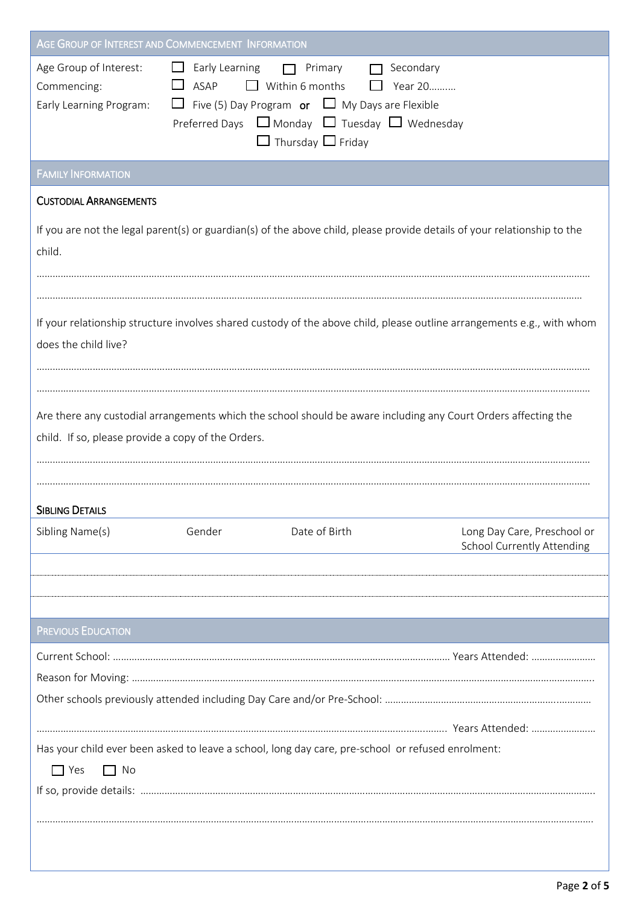| AGE GROUP OF INTEREST AND COMMENCEMENT INFORMATION                                                                                                                                             |                               |                                                                                                                                                                                                     |                                      |                                                                                                                        |
|------------------------------------------------------------------------------------------------------------------------------------------------------------------------------------------------|-------------------------------|-----------------------------------------------------------------------------------------------------------------------------------------------------------------------------------------------------|--------------------------------------|------------------------------------------------------------------------------------------------------------------------|
| Age Group of Interest:<br>Commencing:<br>Early Learning Program:                                                                                                                               | $\Box$ Early Learning<br>ASAP | Primary<br>$\Box$<br>$\Box$ Within 6 months<br>Five (5) Day Program or $\Box$ My Days are Flexible<br>Preferred Days $\Box$ Monday $\Box$ Tuesday $\Box$ Wednesday<br>$\Box$ Thursday $\Box$ Friday | Secondary<br>Year 20<br>$\mathbf{I}$ |                                                                                                                        |
| <b>FAMILY INFORMATION</b>                                                                                                                                                                      |                               |                                                                                                                                                                                                     |                                      |                                                                                                                        |
| <b>CUSTODIAL ARRANGEMENTS</b>                                                                                                                                                                  |                               |                                                                                                                                                                                                     |                                      |                                                                                                                        |
| If you are not the legal parent(s) or guardian(s) of the above child, please provide details of your relationship to the<br>child.                                                             |                               |                                                                                                                                                                                                     |                                      |                                                                                                                        |
|                                                                                                                                                                                                |                               |                                                                                                                                                                                                     |                                      |                                                                                                                        |
| does the child live?                                                                                                                                                                           |                               |                                                                                                                                                                                                     |                                      | If your relationship structure involves shared custody of the above child, please outline arrangements e.g., with whom |
| Are there any custodial arrangements which the school should be aware including any Court Orders affecting the<br>child. If so, please provide a copy of the Orders.<br><b>SIBLING DETAILS</b> |                               |                                                                                                                                                                                                     |                                      |                                                                                                                        |
| Sibling Name(s)                                                                                                                                                                                | Gender                        | Date of Birth                                                                                                                                                                                       |                                      | Long Day Care, Preschool or<br><b>School Currently Attending</b>                                                       |
|                                                                                                                                                                                                |                               |                                                                                                                                                                                                     |                                      |                                                                                                                        |
| <b>PREVIOUS EDUCATION</b>                                                                                                                                                                      |                               |                                                                                                                                                                                                     |                                      |                                                                                                                        |
|                                                                                                                                                                                                |                               |                                                                                                                                                                                                     |                                      |                                                                                                                        |
|                                                                                                                                                                                                |                               |                                                                                                                                                                                                     |                                      |                                                                                                                        |
|                                                                                                                                                                                                |                               |                                                                                                                                                                                                     |                                      |                                                                                                                        |
| Has your child ever been asked to leave a school, long day care, pre-school or refused enrolment:<br>$\Box$ Yes<br>No                                                                          |                               |                                                                                                                                                                                                     |                                      |                                                                                                                        |
|                                                                                                                                                                                                |                               |                                                                                                                                                                                                     |                                      |                                                                                                                        |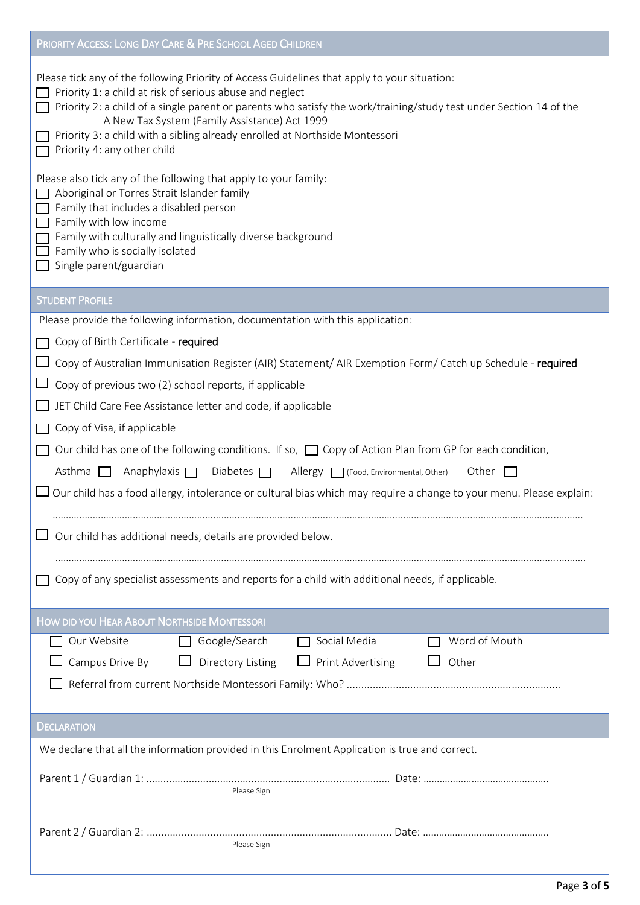| PRIORITY ACCESS: LONG DAY CARE & PRE SCHOOL AGED CHILDREN                                                                                                                                                                                                                                                                                                                                                                                     |  |  |  |  |
|-----------------------------------------------------------------------------------------------------------------------------------------------------------------------------------------------------------------------------------------------------------------------------------------------------------------------------------------------------------------------------------------------------------------------------------------------|--|--|--|--|
| Please tick any of the following Priority of Access Guidelines that apply to your situation:<br>Priority 1: a child at risk of serious abuse and neglect<br>Priority 2: a child of a single parent or parents who satisfy the work/training/study test under Section 14 of the<br>A New Tax System (Family Assistance) Act 1999<br>Priority 3: a child with a sibling already enrolled at Northside Montessori<br>Priority 4: any other child |  |  |  |  |
| Please also tick any of the following that apply to your family:<br>Aboriginal or Torres Strait Islander family<br>Family that includes a disabled person<br>Family with low income<br>Family with culturally and linguistically diverse background<br>Family who is socially isolated<br>Single parent/guardian                                                                                                                              |  |  |  |  |
| <b>STUDENT PROFILE</b>                                                                                                                                                                                                                                                                                                                                                                                                                        |  |  |  |  |
| Please provide the following information, documentation with this application:                                                                                                                                                                                                                                                                                                                                                                |  |  |  |  |
| Copy of Birth Certificate - required                                                                                                                                                                                                                                                                                                                                                                                                          |  |  |  |  |
| Copy of Australian Immunisation Register (AIR) Statement/ AIR Exemption Form/ Catch up Schedule - required                                                                                                                                                                                                                                                                                                                                    |  |  |  |  |
| Copy of previous two (2) school reports, if applicable                                                                                                                                                                                                                                                                                                                                                                                        |  |  |  |  |
| <b>JET Child Care Fee Assistance letter and code, if applicable</b>                                                                                                                                                                                                                                                                                                                                                                           |  |  |  |  |
| □ Copy of Visa, if applicable                                                                                                                                                                                                                                                                                                                                                                                                                 |  |  |  |  |
| Our child has one of the following conditions. If so, $\Box$ Copy of Action Plan from GP for each condition,                                                                                                                                                                                                                                                                                                                                  |  |  |  |  |
| Asthma $\Box$<br>Anaphylaxis $\Box$ Diabetes $\Box$<br>Allergy   (Food, Environmental, Other)<br>Other                                                                                                                                                                                                                                                                                                                                        |  |  |  |  |
| $\Box$ Our child has a food allergy, intolerance or cultural bias which may require a change to your menu. Please explain:                                                                                                                                                                                                                                                                                                                    |  |  |  |  |
| Our child has additional needs, details are provided below.                                                                                                                                                                                                                                                                                                                                                                                   |  |  |  |  |
| Copy of any specialist assessments and reports for a child with additional needs, if applicable.                                                                                                                                                                                                                                                                                                                                              |  |  |  |  |
| HOW DID YOU HEAR ABOUT NORTHSIDE MONTESSORI                                                                                                                                                                                                                                                                                                                                                                                                   |  |  |  |  |
| Our Website<br>Word of Mouth<br>□ Google/Search<br>Social Media                                                                                                                                                                                                                                                                                                                                                                               |  |  |  |  |
| Campus Drive By<br>$\Box$ Directory Listing<br>Print Advertising<br>Other                                                                                                                                                                                                                                                                                                                                                                     |  |  |  |  |
|                                                                                                                                                                                                                                                                                                                                                                                                                                               |  |  |  |  |
| <b>DECLARATION</b>                                                                                                                                                                                                                                                                                                                                                                                                                            |  |  |  |  |
| We declare that all the information provided in this Enrolment Application is true and correct.                                                                                                                                                                                                                                                                                                                                               |  |  |  |  |
| Please Sign                                                                                                                                                                                                                                                                                                                                                                                                                                   |  |  |  |  |
| Please Sign                                                                                                                                                                                                                                                                                                                                                                                                                                   |  |  |  |  |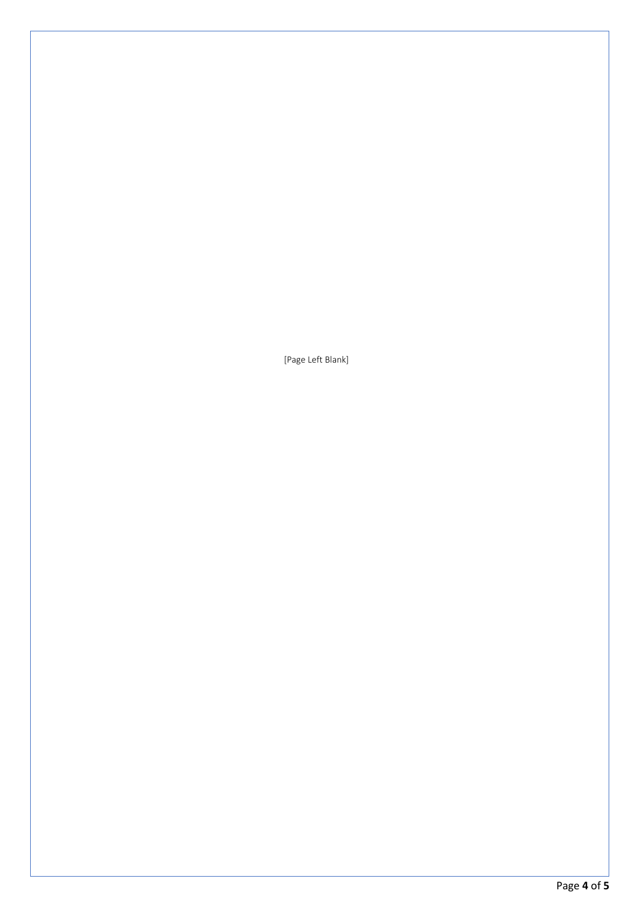[Page Left Blank]